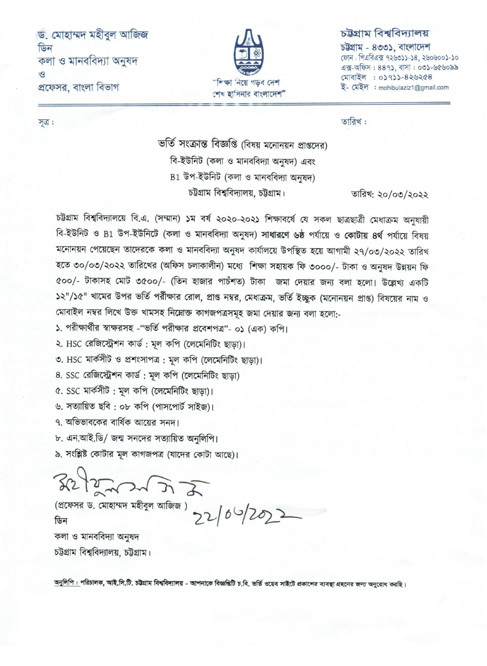ড. মোহাম্মদ মহীবুল আজিজ ডিন কলা ও মানববিদ্যা অনুষদ  $\mathcal{L}$ প্রফেসর, বাংলা বিভাগ



## চউগ্ৰাম বিশ্ববিদ্যালয়

চউগ্ৰাম - ৪৩৩১, বাংলাদেশ ফোন: পিএবিএক্স ৭২৬৩১১-১৪, ২৬০৬০০১-১০ এক্স-অফিস: 889), বাসা: ০৩১-৬৫৬০৯৯ মোবাইল : ০১৭১১-৪২৬২৫৪ ই- মেইল : mohibulaziz1@gmail.com

তারিখ:

ভর্তি সংক্রান্ত বিজ্ঞপ্তি (বিষয় মনোনয়ন প্রাপ্তদের) বি-ইউনিট (কলা ও মানববিদ্যা অনষদ) এবং B1 উপ-ইউনিট (কলা ও মানববিদ্যা অনুষদ) চউগ্রাম বিশ্ববিদ্যালয়, চউগ্রাম।

তারিখ: ২০/০৩/২০২২

চট্টগ্রাম বিশ্ববিদ্যালয়ে বি.এ. (সম্মান) ১ম বর্ষ ২০২০-২০২১ শিক্ষাবর্ষে যে সকল ছাত্রছাত্রী মেধাক্রম অনুযায়ী বি-ইউনিট ও B1 উপ-ইউনিটে (কলা ও মানববিদ্যা অনুষদ) সাধারণে ৬ষ্ঠ পর্যায়ে ও কোটায় ৪র্থ পর্যায়ে বিষয় মনোনয়ন পেয়েছেন তাদেরকে কলা ও মানববিদ্যা অনুষদ কার্যালয়ে উপস্থিত হয়ে আগামী ২৭/০৩/২০২২ তারিখ হতে ৩০/০৩/২০২২ তারিখের (অফিস চলাকালীন) মধ্যে শিক্ষা সহায়ক ফি ৩০০০/- টাকা ও অনুষদ উন্নয়ন ফি ৫০০/- টাকাসহ মোট ৩৫০০/- (তিন হাজার পাচঁশত) টাকা জমা দেয়ার জন্য বলা হলো। উল্লেখ্য একটি ১২"/১৫" খামের উপর ভর্তি পর্রীক্ষার রোল, প্রাপ্ত নম্বর, মেধাক্রম, ভর্তি ইচ্ছুক (মনোনয়ন প্রাপ্ত) বিষয়ের নাম ও মোবাইল নম্বর লিখে উক্ত খামসহ নিম্নোক্ত কাগজপত্রসমূহ জমা দেয়ার জন্য বলা হলো:-

১. পরীক্ষার্থীর স্বাক্ষরসহ -"ভর্তি পরীক্ষার প্রবেশপত্র"- ০১ (এক) কপি।

২. HSC রেজিস্ট্রেশন কার্ড; মূল কপি (লেমেনিটিং ছাড়া)।

৩. HSC মার্কসীট ও প্রশংসাপত্র : মূল কপি (লেমেনিটিং ছাড়া)।

8. SSC রেজিস্ট্রেশন কার্ড: মূল কপি (লেমেনিটিং ছাড়া)

৫. SSC মার্কসীট: মূল কপি (লেমেনিটিং ছাড়া)।

৬. সত্যায়িত ছবি : ০৮ কপি (পাসপোর্ট সাইজ)।

৭. অভিভাবকের বার্ষিক আয়ের সনদ।

৮. এন.আই.ডি/ জন্ম সনদের সত্যায়িত অনুলিপি।

৯. সংশ্লিষ্ট কোটার মূল কাগজপত্র (যাদের কোটা আছে)।

 $322222527$ 

(প্রফেসর ড. মোহাম্মদ মহীবুল আজিজ) >>  $(6\frac{1}{20})$ কলা ও মানববিদ্যা অনুষদ

চউগ্রাম বিশ্ববিদ্যালয়, চউগ্রাম।

অনুলিপি : পরিচালক, আই.সি.টি. চট্টগ্রাম বিশ্ববিদ্যালয় - আপনাকে বিজ্ঞপ্তিটি চ.বি. ভর্তি ওয়েব সাইটে প্রকাশের ব্যবস্থা গ্রহনের জন্য অনুরোধ করছি।

সূত্র :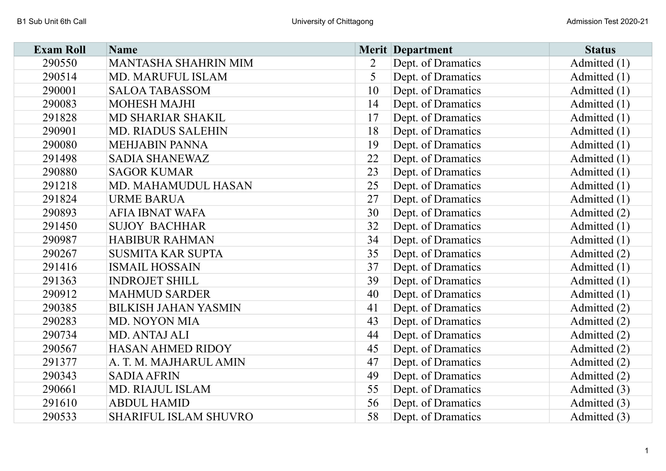| <b>Exam Roll</b> | <b>Name</b>                  |                | <b>Merit Department</b> | <b>Status</b>  |
|------------------|------------------------------|----------------|-------------------------|----------------|
| 290550           | <b>MANTASHA SHAHRIN MIM</b>  | $\overline{2}$ | Dept. of Dramatics      | Admitted (1)   |
| 290514           | <b>MD. MARUFUL ISLAM</b>     | 5              | Dept. of Dramatics      | Admitted (1)   |
| 290001           | <b>SALOA TABASSOM</b>        | 10             | Dept. of Dramatics      | Admitted $(1)$ |
| 290083           | <b>MOHESH MAJHI</b>          | 14             | Dept. of Dramatics      | Admitted $(1)$ |
| 291828           | <b>MD SHARIAR SHAKIL</b>     | 17             | Dept. of Dramatics      | Admitted $(1)$ |
| 290901           | <b>MD. RIADUS SALEHIN</b>    | 18             | Dept. of Dramatics      | Admitted $(1)$ |
| 290080           | <b>MEHJABIN PANNA</b>        | 19             | Dept. of Dramatics      | Admitted $(1)$ |
| 291498           | <b>SADIA SHANEWAZ</b>        | 22             | Dept. of Dramatics      | Admitted $(1)$ |
| 290880           | <b>SAGOR KUMAR</b>           | 23             | Dept. of Dramatics      | Admitted $(1)$ |
| 291218           | MD. MAHAMUDUL HASAN          | 25             | Dept. of Dramatics      | Admitted $(1)$ |
| 291824           | <b>URME BARUA</b>            | 27             | Dept. of Dramatics      | Admitted (1)   |
| 290893           | <b>AFIA IBNAT WAFA</b>       | 30             | Dept. of Dramatics      | Admitted (2)   |
| 291450           | <b>SUJOY BACHHAR</b>         | 32             | Dept. of Dramatics      | Admitted (1)   |
| 290987           | <b>HABIBUR RAHMAN</b>        | 34             | Dept. of Dramatics      | Admitted $(1)$ |
| 290267           | <b>SUSMITA KAR SUPTA</b>     | 35             | Dept. of Dramatics      | Admitted (2)   |
| 291416           | <b>ISMAIL HOSSAIN</b>        | 37             | Dept. of Dramatics      | Admitted $(1)$ |
| 291363           | <b>INDROJET SHILL</b>        | 39             | Dept. of Dramatics      | Admitted $(1)$ |
| 290912           | <b>MAHMUD SARDER</b>         | 40             | Dept. of Dramatics      | Admitted (1)   |
| 290385           | <b>BILKISH JAHAN YASMIN</b>  | 41             | Dept. of Dramatics      | Admitted (2)   |
| 290283           | MD. NOYON MIA                | 43             | Dept. of Dramatics      | Admitted (2)   |
| 290734           | MD. ANTAJ ALI                | 44             | Dept. of Dramatics      | Admitted (2)   |
| 290567           | HASAN AHMED RIDOY            | 45             | Dept. of Dramatics      | Admitted (2)   |
| 291377           | A. T. M. MAJHARUL AMIN       | 47             | Dept. of Dramatics      | Admitted (2)   |
| 290343           | <b>SADIA AFRIN</b>           | 49             | Dept. of Dramatics      | Admitted (2)   |
| 290661           | MD. RIAJUL ISLAM             | 55             | Dept. of Dramatics      | Admitted (3)   |
| 291610           | <b>ABDUL HAMID</b>           | 56             | Dept. of Dramatics      | Admitted (3)   |
| 290533           | <b>SHARIFUL ISLAM SHUVRO</b> | 58             | Dept. of Dramatics      | Admitted (3)   |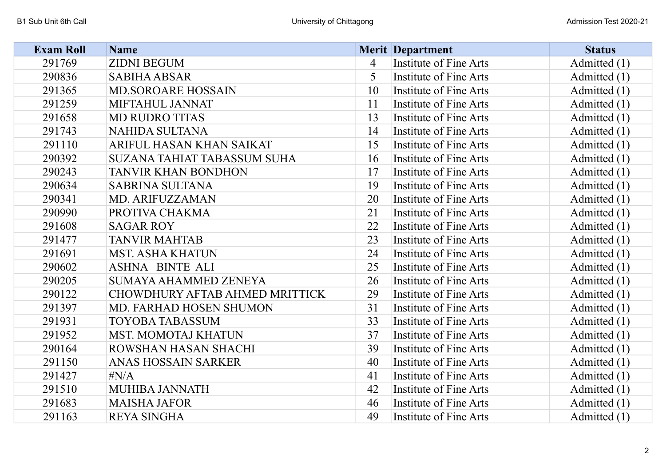| <b>Exam Roll</b> | <b>Name</b>                        |    | <b>Merit Department</b>       | <b>Status</b>  |
|------------------|------------------------------------|----|-------------------------------|----------------|
| 291769           | <b>ZIDNI BEGUM</b>                 | 4  | <b>Institute of Fine Arts</b> | Admitted (1)   |
| 290836           | <b>SABIHA ABSAR</b>                | 5  | Institute of Fine Arts        | Admitted (1)   |
| 291365           | <b>MD.SOROARE HOSSAIN</b>          | 10 | Institute of Fine Arts        | Admitted $(1)$ |
| 291259           | MIFTAHUL JANNAT                    | 11 | <b>Institute of Fine Arts</b> | Admitted $(1)$ |
| 291658           | <b>MD RUDRO TITAS</b>              | 13 | Institute of Fine Arts        | Admitted $(1)$ |
| 291743           | <b>NAHIDA SULTANA</b>              | 14 | Institute of Fine Arts        | Admitted (1)   |
| 291110           | ARIFUL HASAN KHAN SAIKAT           | 15 | Institute of Fine Arts        | Admitted $(1)$ |
| 290392           | <b>SUZANA TAHIAT TABASSUM SUHA</b> | 16 | Institute of Fine Arts        | Admitted (1)   |
| 290243           | <b>TANVIR KHAN BONDHON</b>         | 17 | Institute of Fine Arts        | Admitted $(1)$ |
| 290634           | <b>SABRINA SULTANA</b>             | 19 | Institute of Fine Arts        | Admitted $(1)$ |
| 290341           | MD. ARIFUZZAMAN                    | 20 | Institute of Fine Arts        | Admitted (1)   |
| 290990           | PROTIVA CHAKMA                     | 21 | Institute of Fine Arts        | Admitted (1)   |
| 291608           | <b>SAGAR ROY</b>                   | 22 | Institute of Fine Arts        | Admitted $(1)$ |
| 291477           | <b>TANVIR MAHTAB</b>               | 23 | Institute of Fine Arts        | Admitted $(1)$ |
| 291691           | <b>MST. ASHA KHATUN</b>            | 24 | Institute of Fine Arts        | Admitted (1)   |
| 290602           | <b>ASHNA BINTE ALI</b>             | 25 | Institute of Fine Arts        | Admitted (1)   |
| 290205           | <b>SUMAYA AHAMMED ZENEYA</b>       | 26 | Institute of Fine Arts        | Admitted $(1)$ |
| 290122           | CHOWDHURY AFTAB AHMED MRITTICK     | 29 | Institute of Fine Arts        | Admitted (1)   |
| 291397           | MD. FARHAD HOSEN SHUMON            | 31 | Institute of Fine Arts        | Admitted $(1)$ |
| 291931           | <b>TOYOBA TABASSUM</b>             | 33 | Institute of Fine Arts        | Admitted $(1)$ |
| 291952           | <b>MST. MOMOTAJ KHATUN</b>         | 37 | Institute of Fine Arts        | Admitted (1)   |
| 290164           | ROWSHAN HASAN SHACHI               | 39 | Institute of Fine Arts        | Admitted $(1)$ |
| 291150           | <b>ANAS HOSSAIN SARKER</b>         | 40 | Institute of Fine Arts        | Admitted $(1)$ |
| 291427           | $\sharp N/A$                       | 41 | Institute of Fine Arts        | Admitted $(1)$ |
| 291510           | <b>MUHIBA JANNATH</b>              | 42 | Institute of Fine Arts        | Admitted $(1)$ |
| 291683           | <b>MAISHA JAFOR</b>                | 46 | Institute of Fine Arts        | Admitted (1)   |
| 291163           | <b>REYA SINGHA</b>                 | 49 | Institute of Fine Arts        | Admitted (1)   |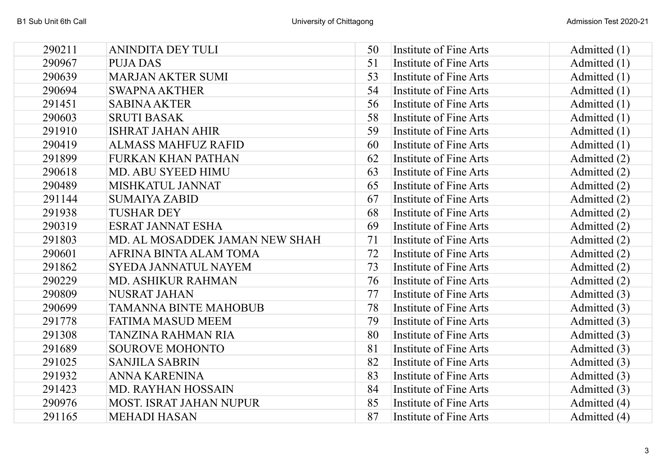| 290211 | <b>ANINDITA DEY TULI</b>       | 50 | Institute of Fine Arts        | Admitted (1)   |
|--------|--------------------------------|----|-------------------------------|----------------|
| 290967 | <b>PUJA DAS</b>                | 51 | Institute of Fine Arts        | Admitted (1)   |
| 290639 | <b>MARJAN AKTER SUMI</b>       | 53 | Institute of Fine Arts        | Admitted (1)   |
| 290694 | <b>SWAPNA AKTHER</b>           | 54 | Institute of Fine Arts        | Admitted (1)   |
| 291451 | <b>SABINA AKTER</b>            | 56 | Institute of Fine Arts        | Admitted (1)   |
| 290603 | <b>SRUTI BASAK</b>             | 58 | Institute of Fine Arts        | Admitted (1)   |
| 291910 | <b>ISHRAT JAHAN AHIR</b>       | 59 | Institute of Fine Arts        | Admitted (1)   |
| 290419 | <b>ALMASS MAHFUZ RAFID</b>     | 60 | <b>Institute of Fine Arts</b> | Admitted $(1)$ |
| 291899 | <b>FURKAN KHAN PATHAN</b>      | 62 | Institute of Fine Arts        | Admitted (2)   |
| 290618 | MD. ABU SYEED HIMU             | 63 | Institute of Fine Arts        | Admitted (2)   |
| 290489 | MISHKATUL JANNAT               | 65 | Institute of Fine Arts        | Admitted (2)   |
| 291144 | <b>SUMAIYA ZABID</b>           | 67 | Institute of Fine Arts        | Admitted (2)   |
| 291938 | <b>TUSHAR DEY</b>              | 68 | Institute of Fine Arts        | Admitted (2)   |
| 290319 | <b>ESRAT JANNAT ESHA</b>       | 69 | Institute of Fine Arts        | Admitted (2)   |
| 291803 | MD. AL MOSADDEK JAMAN NEW SHAH | 71 | Institute of Fine Arts        | Admitted (2)   |
| 290601 | AFRINA BINTA ALAM TOMA         | 72 | Institute of Fine Arts        | Admitted (2)   |
| 291862 | <b>SYEDA JANNATUL NAYEM</b>    | 73 | Institute of Fine Arts        | Admitted (2)   |
| 290229 | <b>MD. ASHIKUR RAHMAN</b>      | 76 | Institute of Fine Arts        | Admitted (2)   |
| 290809 | <b>NUSRAT JAHAN</b>            | 77 | Institute of Fine Arts        | Admitted (3)   |
| 290699 | <b>TAMANNA BINTE MAHOBUB</b>   | 78 | Institute of Fine Arts        | Admitted (3)   |
| 291778 | <b>FATIMA MASUD MEEM</b>       | 79 | Institute of Fine Arts        | Admitted (3)   |
| 291308 | <b>TANZINA RAHMAN RIA</b>      | 80 | Institute of Fine Arts        | Admitted (3)   |
| 291689 | <b>SOUROVE MOHONTO</b>         | 81 | Institute of Fine Arts        | Admitted (3)   |
| 291025 | <b>SANJILA SABRIN</b>          | 82 | Institute of Fine Arts        | Admitted (3)   |
| 291932 | <b>ANNA KARENINA</b>           | 83 | Institute of Fine Arts        | Admitted (3)   |
| 291423 | MD. RAYHAN HOSSAIN             | 84 | Institute of Fine Arts        | Admitted (3)   |
| 290976 | <b>MOST. ISRAT JAHAN NUPUR</b> | 85 | Institute of Fine Arts        | Admitted (4)   |
| 291165 | <b>MEHADI HASAN</b>            | 87 | Institute of Fine Arts        | Admitted (4)   |